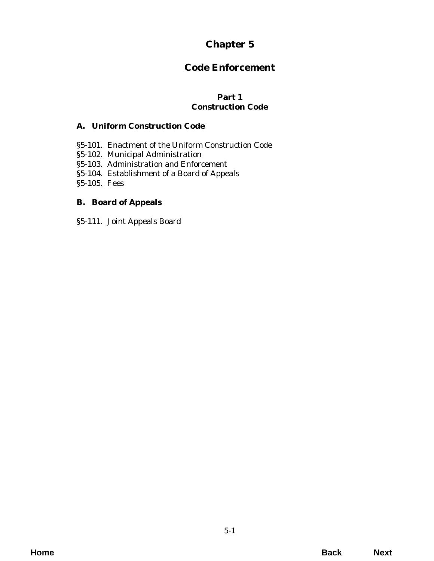# **Chapter 5**

# **Code Enforcement**

## **Part 1 Construction Code**

# **A. Uniform Construction Code**

- [§5-101. Enactment of the Uniform Construction Code](#page-2-0)
- §5-102. Municipal Administration
- §5-103. Administration and Enforcement
- §5-104. Establishment of a Board of Appeals
- [§5-105. Fees](#page-3-0)

# **B. Board of Appeals**

[§5-111. Joint Appeals Board](#page-4-0)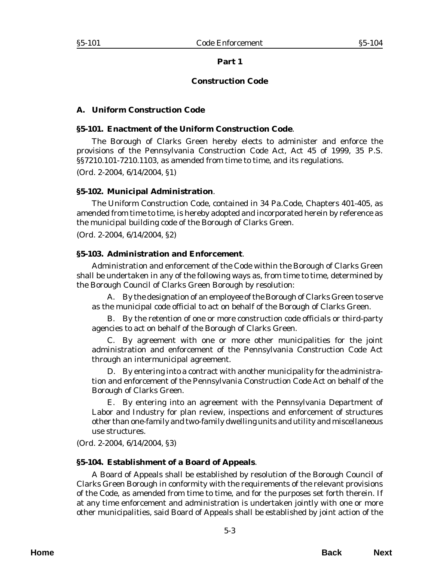#### **Part 1**

### **Construction Code**

### <span id="page-2-0"></span>**A. Uniform Construction Code**

#### **§5-101. Enactment of the Uniform Construction Code**.

The Borough of Clarks Green hereby elects to administer and enforce the provisions of the Pennsylvania Construction Code Act, Act 45 of 1999, 35 P.S. §§7210.101-7210.1103, as amended from time to time, and its regulations.

(*Ord. 2-2004*, 6/14/2004, §1)

#### **§5-102. Municipal Administration**.

The Uniform Construction Code, contained in 34 Pa.Code, Chapters 401-405, as amended from time to time, is hereby adopted and incorporated herein by reference as the municipal building code of the Borough of Clarks Green.

(*Ord. 2-2004*, 6/14/2004, §2)

#### **§5-103. Administration and Enforcement**.

Administration and enforcement of the Code within the Borough of Clarks Green shall be undertaken in any of the following ways as, from time to time, determined by the Borough Council of Clarks Green Borough by resolution:

A. By the designation of an employee of the Borough of Clarks Green to serve as the municipal code official to act on behalf of the Borough of Clarks Green.

B. By the retention of one or more construction code officials or third-party agencies to act on behalf of the Borough of Clarks Green.

C. By agreement with one or more other municipalities for the joint administration and enforcement of the Pennsylvania Construction Code Act through an intermunicipal agreement.

D. By entering into a contract with another municipality for the administration and enforcement of the Pennsylvania Construction Code Act on behalf of the Borough of Clarks Green.

E. By entering into an agreement with the Pennsylvania Department of Labor and Industry for plan review, inspections and enforcement of structures other than one-family and two-family dwelling units and utility and miscellaneous use structures.

(*Ord. 2-2004*, 6/14/2004, §3)

### **§5-104. Establishment of a Board of Appeals**.

A Board of Appeals shall be established by resolution of the Borough Council of Clarks Green Borough in conformity with the requirements of the relevant provisions of the Code, as amended from time to time, and for the purposes set forth therein. If at any time enforcement and administration is undertaken jointly with one or more other municipalities, said Board of Appeals shall be established by joint action of the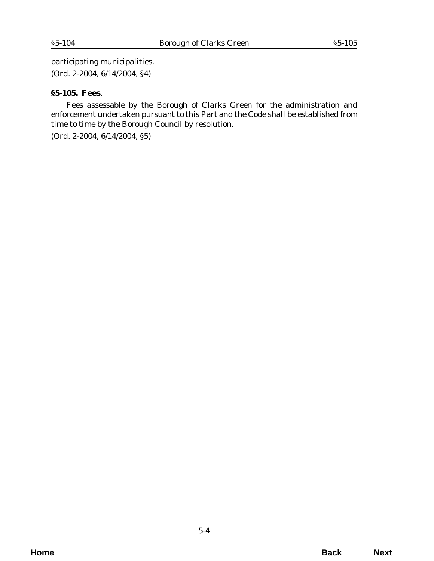<span id="page-3-0"></span>participating municipalities. (*Ord. 2-2004*, 6/14/2004, §4)

#### **§5-105. Fees**.

Fees assessable by the Borough of Clarks Green for the administration and enforcement undertaken pursuant to this Part and the Code shall be established from time to time by the Borough Council by resolution.

(*Ord. 2-2004*, 6/14/2004, §5)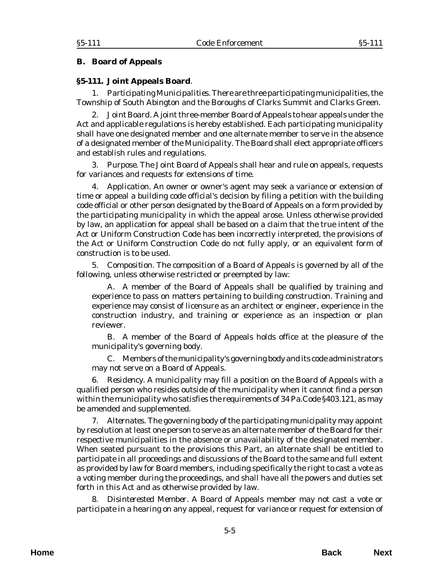# <span id="page-4-0"></span>**B. Board of Appeals**

## **§5-111. Joint Appeals Board**.

1. *Participating Municipalities*. There are three participating municipalities, the Township of South Abington and the Boroughs of Clarks Summit and Clarks Green.

2. *Joint Board*. A joint three-member Board of Appeals to hear appeals under the Act and applicable regulations is hereby established. Each participating municipality shall have one designated member and one alternate member to serve in the absence of a designated member of the Municipality. The Board shall elect appropriate officers and establish rules and regulations.

3. *Purpose*. The Joint Board of Appeals shall hear and rule on appeals, requests for variances and requests for extensions of time.

4. *Application*. An owner or owner's agent may seek a variance or extension of time or appeal a building code official's decision by filing a petition with the building code official or other person designated by the Board of Appeals on a form provided by the participating municipality in which the appeal arose. Unless otherwise provided by law, an application for appeal shall be based on a claim that the true intent of the Act or Uniform Construction Code has been incorrectly interpreted, the provisions of the Act or Uniform Construction Code do not fully apply, or an equivalent form of construction is to be used.

5. *Composition*. The composition of a Board of Appeals is governed by all of the following, unless otherwise restricted or preempted by law:

A. A member of the Board of Appeals shall be qualified by training and experience to pass on matters pertaining to building construction. Training and experience may consist of licensure as an architect or engineer, experience in the construction industry, and training or experience as an inspection or plan reviewer.

B. A member of the Board of Appeals holds office at the pleasure of the municipality's governing body.

C. Members of the municipality's governing body and its code administrators may not serve on a Board of Appeals.

6. *Residency*. A municipality may fill a position on the Board of Appeals with a qualified person who resides outside of the municipality when it cannot find a person within the municipality who satisfies the requirements of 34 Pa.Code §403.121, as may be amended and supplemented.

7. *Alternates*. The governing body of the participating municipality may appoint by resolution at least one person to serve as an alternate member of the Board for their respective municipalities in the absence or unavailability of the designated member. When seated pursuant to the provisions this Part, an alternate shall be entitled to participate in all proceedings and discussions of the Board to the same and full extent as provided by law for Board members, including specifically the right to cast a vote as a voting member during the proceedings, and shall have all the powers and duties set forth in this Act and as otherwise provided by law.

8. *Disinterested Member*. A Board of Appeals member may not cast a vote or participate in a hearing on any appeal, request for variance or request for extension of

**Home Back Next**